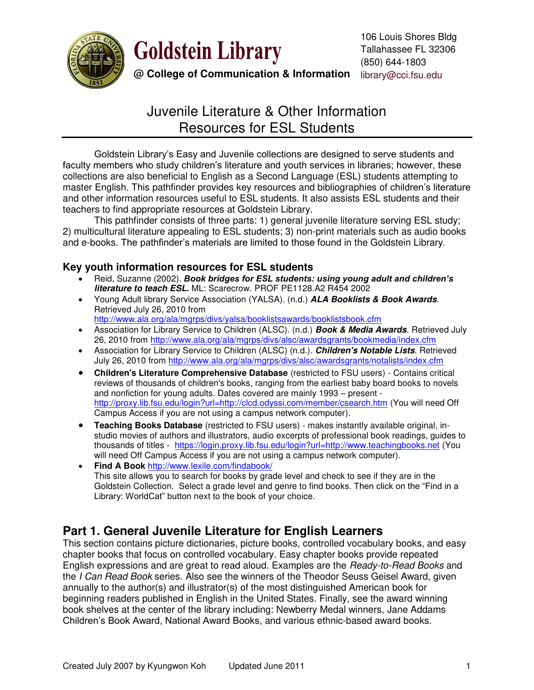

**Goldstein Library** 

**@ College of Communication & Information** library@cci.fsu.edu

# Juvenile Literature & Other Information Resources for ESL Students

Goldstein Library's Easy and Juvenile collections are designed to serve students and faculty members who study children's literature and youth services in libraries; however, these collections are also beneficial to English as a Second Language (ESL) students attempting to master English. This pathfinder provides key resources and bibliographies of children's literature and other information resources useful to ESL students. It also assists ESL students and their teachers to find appropriate resources at Goldstein Library.

 This pathfinder consists of three parts: 1) general juvenile literature serving ESL study; 2) multicultural literature appealing to ESL students; 3) non-print materials such as audio books and e-books. The pathfinder's materials are limited to those found in the Goldstein Library.

## **Key youth information resources for ESL students**

- Reid, Suzanne (2002). *Book bridges for ESL students: using young adult and children's literature to teach ESL***.** ML: Scarecrow. PROF PE1128.A2 R454 2002
- Young Adult library Service Association (YALSA). (n.d.) *ALA Booklists & Book Awards*. Retrieved July 26, 2010 from

<http://www.ala.org/ala/mgrps/divs/yalsa/booklistsawards/booklistsbook.cfm>

- Association for Library Service to Children (ALSC). (n.d.) *Book & Media Awards*. Retrieved July 26, 2010 from<http://www.ala.org/ala/mgrps/divs/alsc/awardsgrants/bookmedia/index.cfm>
- Association for Library Service to Children (ALSC) (n.d.). *Children's Notable Lists*. Retrieved July 26, 2010 from<http://www.ala.org/ala/mgrps/divs/alsc/awardsgrants/notalists/index.cfm>
- **Children's Literature Comprehensive Database** (restricted to FSU users) Contains critical reviews of thousands of children's books, ranging from the earliest baby board books to novels and nonfiction for young adults. Dates covered are mainly 1993 – present <http://proxy.lib.fsu.edu/login?url=http://clcd.odyssi.com/member/csearch.htm>(You will need Off Campus Access if you are not using a campus network computer).
- **Teaching Books Database** (restricted to FSU users) makes instantly available original, instudio movies of authors and illustrators, audio excerpts of professional book readings, guides to thousands of titles - <https://login.proxy.lib.fsu.edu/login?url=http://www.teachingbooks.net>(You will need Off Campus Access if you are not using a campus network computer).
- **Find A Book** <http://www.lexile.com/findabook/> This site allows you to search for books by grade level and check to see if they are in the Goldstein Collection. Select a grade level and genre to find books. Then click on the "Find in a Library: WorldCat" button next to the book of your choice.

## **Part 1. General Juvenile Literature for English Learners**

This section contains picture dictionaries, picture books, controlled vocabulary books, and easy chapter books that focus on controlled vocabulary. Easy chapter books provide repeated English expressions and are great to read aloud. Examples are the *Ready-to-Read Books* and the *I Can Read Book* series. Also see the winners of the Theodor Seuss Geisel Award, given annually to the author(s) and illustrator(s) of the most distinguished American book for beginning readers published in English in the United States. Finally, see the award winning book shelves at the center of the library including: Newberry Medal winners, Jane Addams Children's Book Award, National Award Books, and various ethnic-based award books.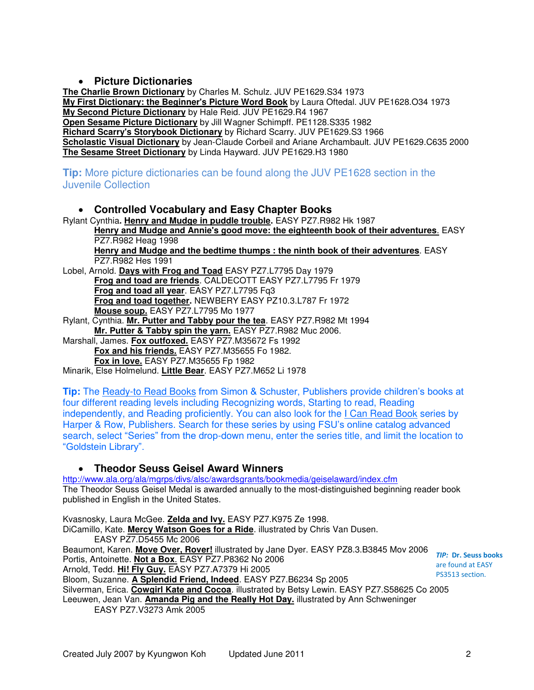## **Picture Dictionaries**

**The Charlie Brown Dictionary** by Charles M. Schulz. JUV PE1629.S34 1973 **My First Dictionary: the Beginner's Picture Word Book** by Laura Oftedal. JUV PE1628.O34 1973 **My Second Picture Dictionary** by Hale Reid. JUV PE1629.R4 1967 **Open Sesame Picture Dictionary** by Jill Wagner Schimpff. PE1128.S335 1982 **Richard Scarry's Storybook Dictionary** by Richard Scarry. JUV PE1629.S3 1966 **Scholastic Visual Dictionary** by Jean-Claude Corbeil and Ariane Archambault. JUV PE1629.C635 2000 **The Sesame Street Dictionary** by Linda Hayward. JUV PE1629.H3 1980

## **Tip:** More picture dictionaries can be found along the JUV PE1628 section in the Juvenile Collection

## **Controlled Vocabulary and Easy Chapter Books**

Rylant Cynthia**. Henry and Mudge in puddle trouble.** EASY PZ7.R982 Hk 1987

**Henry and Mudge and Annie's good move: the eighteenth book of their adventures**. EASY PZ7.R982 Heag 1998

**Henry and Mudge and the bedtime thumps : the ninth book of their adventures**. EASY PZ7.R982 Hes 1991

Lobel, Arnold. **Days with Frog and Toad** EASY PZ7.L7795 Day 1979 **Frog and toad are friends**. CALDECOTT EASY PZ7.L7795 Fr 1979 **Frog and toad all year**. EASY PZ7.L7795 Fq3 **Frog and toad together.** NEWBERY EASY PZ10.3.L787 Fr 1972 **Mouse soup.** EASY PZ7.L7795 Mo 1977

Rylant, Cynthia. **Mr. Putter and Tabby pour the tea**. EASY PZ7.R982 Mt 1994 **Mr. Putter & Tabby spin the yarn.** EASY PZ7.R982 Muc 2006.

Marshall, James. **Fox outfoxed.** EASY PZ7.M35672 Fs 1992 **Fox and his friends.** EASY PZ7.M35655 Fo 1982.

**Fox in love.** EASY PZ7.M35655 Fp 1982

Minarik, Else Holmelund. **Little Bear**. EASY PZ7.M652 Li 1978

**Tip:** The Ready-to Read Books from Simon & Schuster, Publishers provide children's books at four different reading levels including Recognizing words, Starting to read, Reading independently, and Reading proficiently. You can also look for the I Can Read Book series by Harper & Row, Publishers. Search for these series by using FSU's online catalog advanced search, select "Series" from the drop-down menu, enter the series title, and limit the location to "Goldstein Library".

## **Theodor Seuss Geisel Award Winners**

<http://www.ala.org/ala/mgrps/divs/alsc/awardsgrants/bookmedia/geiselaward/index.cfm> The Theodor Seuss Geisel Medal is awarded annually to the most-distinguished beginning reader book published in English in the United States.

Kvasnosky, Laura McGee. **Zelda and Ivy.** EASY PZ7.K975 Ze 1998. DiCamillo, Kate. **Mercy Watson Goes for a Ride**. illustrated by Chris Van Dusen. EASY PZ7.D5455 Mc 2006 Beaumont, Karen. **Move Over, Rover!** illustrated by Jane Dyer. EASY PZ8.3.B3845 Mov 2006 Portis, Antoinette. **Not a Box**. [EASY PZ7.P8362 No 2006](http://fs.aleph.fcla.edu/F/M44M5MXPMMUNTL9TIB5XBVCV87CK3CKCIRS7XF3DVECY43BC5U-03340?func=item-global&doc_library=FSU01&doc_number=002362140&year=&volume=&sub_library=FSINF)  Arnold, Tedd. **Hi! Fly Guy.** [EASY PZ7.A7379 Hi 2005](http://fs.aleph.fcla.edu/F/M44M5MXPMMUNTL9TIB5XBVCV87CK3CKCIRS7XF3DVECY43BC5U-04037?func=item-global&doc_library=FSU01&doc_number=002288972&year=&volume=&sub_library=FSINF)  Bloom, Suzanne. **A Splendid Friend, Indeed**. [EASY PZ7.B6234 Sp 2005](http://fs.aleph.fcla.edu/F/M44M5MXPMMUNTL9TIB5XBVCV87CK3CKCIRS7XF3DVECY43BC5U-00470?func=item-global&doc_library=FSU01&doc_number=002276504&year=&volume=&sub_library=FSINF)  Silverman, Erica. **Cowgirl Kate and Cocoa**. illustrated by Betsy Lewin. EASY PZ7.S58625 Co 2005 Leeuwen, Jean Van. **Amanda Pig and the Really Hot Day.** illustrated by Ann Schweninger EASY PZ7.V3273 Amk 2005 *TIP:* **Dr. Seuss books** are found at EASY PS3513 section.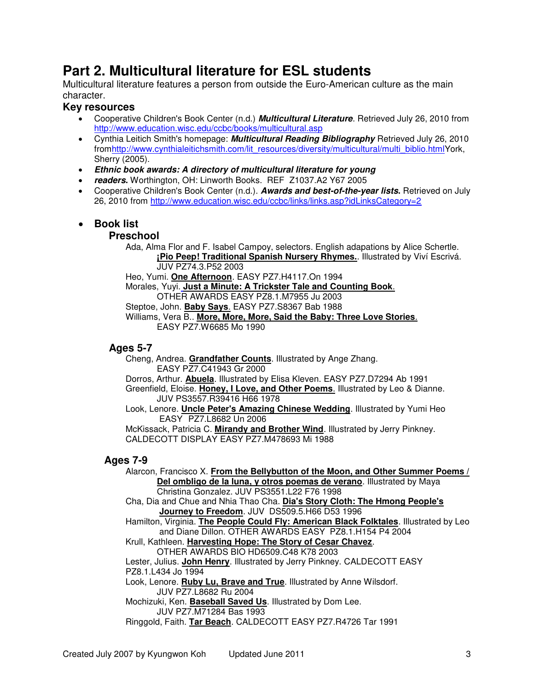# **Part 2. Multicultural literature for ESL students**

Multicultural literature features a person from outside the Euro-American culture as the main character.

## **Key resources**

- Cooperative Children's Book Center (n.d.) *Multicultural Literature*. Retrieved July 26, 2010 from <http://www.education.wisc.edu/ccbc/books/multicultural.asp>
- Cynthia Leitich Smith's homepage: *Multicultural Reading Bibliography* Retrieved July 26, 2010 fro[mhttp://www.cynthialeitichsmith.com/lit\\_resources/diversity/multicultural/multi\\_biblio.htmlY](http://www.cynthialeitichsmith.com/lit_resources/diversity/multicultural/multi_biblio.html)ork, Sherry (2005).
- *Ethnic book awards: A directory of multicultural literature for young*
- *readers***.** Worthington, OH: Linworth Books. REF Z1037.A2 Y67 2005
- Cooperative Children's Book Center (n.d.). *Awards and best-of-the-year lists***.** Retrieved on July 26, 2010 from<http://www.education.wisc.edu/ccbc/links/links.asp?idLinksCategory=2>

## **Book list**

#### **Preschool**

 Ada, Alma Flor and F. Isabel Campoy, selectors. English adapations by Alice Schertle. **[¡Pio Peep! Traditional Spanish Nursery Rhymes.](http://www.education.wisc.edu/ccbc/books/detailBook.asp?idBooks=199)**. Illustrated by Viví Escrivá. JUV PZ74.3.P52 2003

Heo, Yumi. **[One Afternoon](http://www.education.wisc.edu/ccbc/books/detailBook.asp?idBooks=81)**. EASY PZ7.H4117.On 1994

 Morales, Yuyi. **[Just a Minute: A Trickster Tale and Counting Book](http://www.education.wisc.edu/ccbc/books/detailBook.asp?idBooks=1050)**. OTHER AWARDS EASY PZ8.1.M7955 Ju 2003

Steptoe, John. **[Baby Says](http://www.education.wisc.edu/ccbc/books/detailBook.asp?idBooks=84)**. EASY PZ7.S8367 Bab 1988

 Williams, Vera B.. **[More, More, More, Said the Baby: Three Love Stories](http://www.education.wisc.edu/ccbc/books/detailBook.asp?idBooks=139)**. EASY PZ7.W6685 Mo 1990

#### **Ages 5-7**

 Cheng, Andrea. **[Grandfather Counts](http://www.education.wisc.edu/ccbc/books/detailBook.asp?idBooks=86)**. Illustrated by Ange Zhang. EASY PZ7.C41943 Gr 2000

Dorros, Arthur. **[Abuela](http://www.education.wisc.edu/ccbc/books/detailBook.asp?idBooks=142)**. Illustrated by Elisa Kleven. EASY PZ7.D7294 Ab 1991

 Greenfield, Eloise. **[Honey, I Love, and Other Poems](http://www.education.wisc.edu/ccbc/books/detailBook.asp?idBooks=143)**. Illustrated by Leo & Dianne. JUV PS3557.R39416 H66 1978

 Look, Lenore. **[Uncle Peter's Amazing Chinese Wedding](http://www.education.wisc.edu/ccbc/books/detailBook.asp?idBooks=1891)**. Illustrated by Yumi Heo EASY PZ7.L8682 Un 2006

 McKissack, Patricia C. **[Mirandy and Brother Wind](http://www.education.wisc.edu/ccbc/books/detailBook.asp?idBooks=146)**. Illustrated by Jerry Pinkney. CALDECOTT DISPLAY EASY PZ7.M478693 Mi 1988

## **Ages 7-9**

 Alarcon, Francisco X. **[From the Bellybutton of the Moon, and Other Summer Poems /](http://www.education.wisc.edu/ccbc/books/detailBook.asp?idBooks=90)   [Del ombligo de la luna, y otros poemas de verano](http://www.education.wisc.edu/ccbc/books/detailBook.asp?idBooks=90)**. Illustrated by Maya Christina Gonzalez. JUV PS3551.L22 F76 1998

 Cha, Dia and Chue and Nhia Thao Cha. **[Dia's Story Cloth: The Hmong People's](http://www.education.wisc.edu/ccbc/books/detailBook.asp?idBooks=368)   [Journey to Freedom](http://www.education.wisc.edu/ccbc/books/detailBook.asp?idBooks=368)**. JUV DS509.5.H66 D53 1996

 Hamilton, Virginia. **[The People Could Fly: American Black Folktales](http://www.education.wisc.edu/ccbc/books/detailBook.asp?idBooks=92)**. Illustrated by Leo and Diane Dillon. OTHER AWARDS EASY PZ8.1.H154 P4 2004

Krull, Kathleen. **[Harvesting Hope: The Story of Cesar Chavez](http://www.education.wisc.edu/ccbc/books/detailBook.asp?idBooks=915)**.

 OTHER AWARDS BIO HD6509.C48 K78 2003 Lester, Julius. **[John Henry](http://www.education.wisc.edu/ccbc/books/detailBook.asp?idBooks=151)**. Illustrated by Jerry Pinkney. CALDECOTT EASY

PZ8.1.L434 Jo 1994

Look, Lenore. **[Ruby Lu, Brave and True](http://www.education.wisc.edu/ccbc/books/detailBook.asp?idBooks=1816)**. Illustrated by Anne Wilsdorf.

JUV PZ7.L8682 Ru 2004

 Mochizuki, Ken. **[Baseball Saved Us](http://www.education.wisc.edu/ccbc/books/detailBook.asp?idBooks=152)**. Illustrated by Dom Lee. JUV PZ7.M71284 Bas 1993

Ringgold, Faith. **[Tar Beach](http://www.education.wisc.edu/ccbc/books/detailBook.asp?idBooks=156)**. CALDECOTT EASY PZ7.R4726 Tar 1991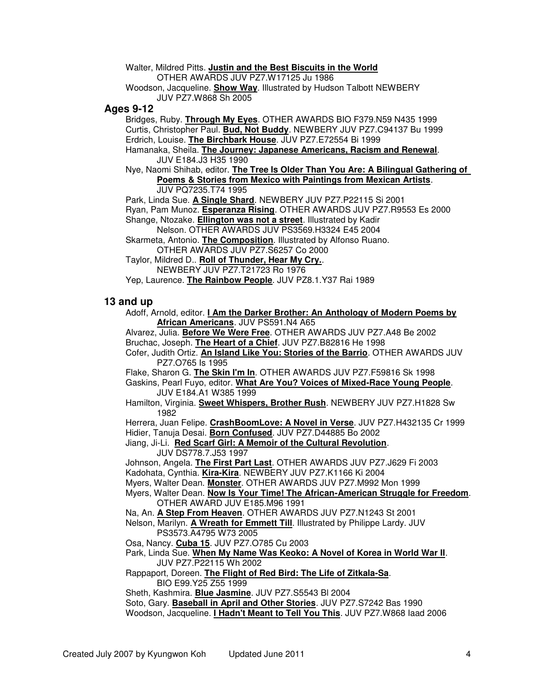Walter, Mildred Pitts. **[Justin and the Best Biscuits in the World](http://www.education.wisc.edu/ccbc/books/detailBook.asp?idBooks=158)** OTHER AWARDS JUV PZ7.W17125 Ju 1986

 Woodson, Jacqueline. **[Show Way](http://www.education.wisc.edu/ccbc/books/detailBook.asp?idBooks=1878)**. Illustrated by Hudson Talbott NEWBERY JUV PZ7.W868 Sh 2005

#### **Ages 9-12**

Bridges, Ruby. **[Through My Eyes](http://www.education.wisc.edu/ccbc/books/detailBook.asp?idBooks=93)**. OTHER AWARDS BIO F379.N59 N435 1999 Curtis, Christopher Paul. **[Bud, Not Buddy](http://www.education.wisc.edu/ccbc/books/detailBook.asp?idBooks=95)**. NEWBERY JUV PZ7.C94137 Bu 1999 Erdrich, Louise. **[The Birchbark House](http://www.education.wisc.edu/ccbc/books/detailBook.asp?idBooks=134)**. JUV PZ7.E72554 Bi 1999

 Hamanaka, Sheila. **[The Journey: Japanese Americans, Racism and Renewal](http://www.education.wisc.edu/ccbc/books/detailBook.asp?idBooks=97)**. JUV E184.J3 H35 1990

 Nye, Naomi Shihab, editor. **[The Tree Is Older Than You Are: A Bilingual Gathering of](http://www.education.wisc.edu/ccbc/books/detailBook.asp?idBooks=130)   [Poems & Stories from Mexico with Paintings from Mexican Artists](http://www.education.wisc.edu/ccbc/books/detailBook.asp?idBooks=130)**. JUV PQ7235.T74 1995

Park, Linda Sue. **[A Single Shard](http://www.education.wisc.edu/ccbc/books/detailBook.asp?idBooks=375)**. NEWBERY JUV PZ7.P22115 Si 2001

 Ryan, Pam Munoz. **[Esperanza Rising](http://www.education.wisc.edu/ccbc/books/detailBook.asp?idBooks=129)**. OTHER AWARDS JUV PZ7.R9553 Es 2000 Shange, Ntozake. **[Ellington was not a street](http://www.education.wisc.edu/ccbc/books/detailBook.asp?idBooks=1976)**. Illustrated by Kadir

Nelson. OTHER AWARDS JUV PS3569.H3324 E45 2004

 Skarmeta, Antonio. **[The Composition](http://www.education.wisc.edu/ccbc/books/detailBook.asp?idBooks=921)**. Illustrated by Alfonso Ruano. OTHER AWARDS JUV PZ7.S6257 Co 2000

 Taylor, Mildred D.. **[Roll of Thunder, Hear My Cry.](http://www.education.wisc.edu/ccbc/books/detailBook.asp?idBooks=127)**. NEWBERY JUV PZ7.T21723 Ro 1976

Yep, Laurence. **[The Rainbow People](http://www.education.wisc.edu/ccbc/books/detailBook.asp?idBooks=126)**. JUV PZ8.1.Y37 Rai 1989

#### **13 and up**

 Adoff, Arnold, editor. **[I Am the Darker Brother: An Anthology of Modern Poems by](http://www.education.wisc.edu/ccbc/books/detailBook.asp?idBooks=1017)   [African Americans](http://www.education.wisc.edu/ccbc/books/detailBook.asp?idBooks=1017)**. JUV PS591.N4 A65

 Alvarez, Julia. **[Before We Were Free](http://www.education.wisc.edu/ccbc/books/detailBook.asp?idBooks=1981)**. OTHER AWARDS JUV PZ7.A48 Be 2002 Bruchac, Joseph. **[The Heart of a Chief](http://www.education.wisc.edu/ccbc/books/detailBook.asp?idBooks=908)**. JUV PZ7.B82816 He 1998

 Cofer, Judith Ortiz. **[An Island Like You: Stories of the Barrio](http://www.education.wisc.edu/ccbc/books/detailBook.asp?idBooks=1226)**. OTHER AWARDS JUV PZ7.O765 Is 1995

Flake, Sharon G. **[The Skin I'm In](http://www.education.wisc.edu/ccbc/books/detailBook.asp?idBooks=1980)**. OTHER AWARDS JUV PZ7.F59816 Sk 1998

 Gaskins, Pearl Fuyo, editor. **[What Are You? Voices of Mixed-Race Young People](http://www.education.wisc.edu/ccbc/books/detailBook.asp?idBooks=1983)**. JUV E184.A1 W385 1999

Hamilton, Virginia. **[Sweet Whispers, Brother Rush](http://www.education.wisc.edu/ccbc/books/detailBook.asp?idBooks=1988)**. NEWBERY JUV PZ7.H1828 Sw 1982

 Herrera, Juan Felipe. **[CrashBoomLove: A Novel in Verse](http://www.education.wisc.edu/ccbc/books/detailBook.asp?idBooks=1029)**. JUV PZ7.H432135 Cr 1999 Hidier, Tanuja Desai. **[Born Confused](http://www.education.wisc.edu/ccbc/books/detailBook.asp?idBooks=651)**. JUV PZ7.D44885 Bo 2002

Jiang, Ji-Li. **[Red Scarf Girl: A Memoir of the Cultural Revolution](http://www.education.wisc.edu/ccbc/books/detailBook.asp?idBooks=927)**.

JUV DS778.7.J53 1997

 Johnson, Angela. **[The First Part Last](http://www.education.wisc.edu/ccbc/books/detailBook.asp?idBooks=1594)**. OTHER AWARDS JUV PZ7.J629 Fi 2003 Kadohata, Cynthia. **[Kira-Kira](http://www.education.wisc.edu/ccbc/books/detailBook.asp?idBooks=1435)**. NEWBERY JUV PZ7.K1166 Ki 2004

Myers, Walter Dean. **[Monster](http://www.education.wisc.edu/ccbc/books/detailBook.asp?idBooks=640)**. OTHER AWARDS JUV PZ7.M992 Mon 1999

 Myers, Walter Dean. **[Now Is Your Time! The African-American Struggle for Freedom](http://www.education.wisc.edu/ccbc/books/detailBook.asp?idBooks=131)**. OTHER AWARD JUV E185.M96 1991

Na, An. **[A Step From Heaven](http://www.education.wisc.edu/ccbc/books/detailBook.asp?idBooks=544)**. OTHER AWARDS JUV PZ7.N1243 St 2001

 Nelson, Marilyn. **[A Wreath for Emmett Till](http://www.education.wisc.edu/ccbc/books/detailBook.asp?idBooks=1755)**. Illustrated by Philippe Lardy. JUV PS3573.A4795 W73 2005

Osa, Nancy. **[Cuba 15](http://www.education.wisc.edu/ccbc/books/detailBook.asp?idBooks=1114)**. JUV PZ7.O785 Cu 2003

 Park, Linda Sue. **[When My Name Was Keoko: A Novel of Korea in World War II](http://www.education.wisc.edu/ccbc/books/detailBook.asp?idBooks=1153)**. JUV PZ7.P22115 Wh 2002

 Rappaport, Doreen. **[The Flight of Red Bird: The Life of Zitkala-Sa](http://www.education.wisc.edu/ccbc/books/detailBook.asp?idBooks=1240)**. BIO E99.Y25 Z55 1999

Sheth, Kashmira. **[Blue Jasmine](http://www.education.wisc.edu/ccbc/books/detailBook.asp?idBooks=1062)**. JUV PZ7.S5543 Bl 2004

 Soto, Gary. **[Baseball in April and Other Stories](http://www.education.wisc.edu/ccbc/books/detailBook.asp?idBooks=1982)**. JUV PZ7.S7242 Bas 1990 Woodson, Jacqueline. **[I Hadn't Meant to Tell You This](http://www.education.wisc.edu/ccbc/books/detailBook.asp?idBooks=1246)**. JUV PZ7.W868 Iaad 2006